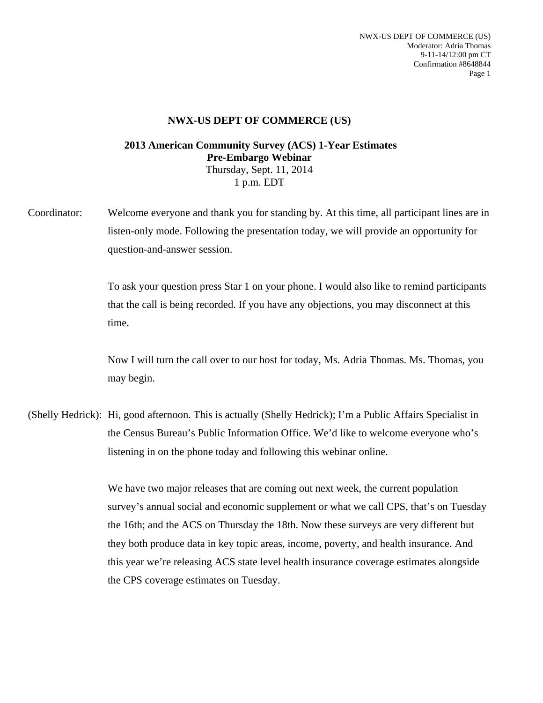NWX-US DEPT OF COMMERCE (US) Moderator: Adria Thomas 9-11-14/12:00 pm CT Confirmation #8648844 Page 1

## **NWX-US DEPT OF COMMERCE (US)**

## **2013 American Community Survey (ACS) 1-Year Estimates Pre-Embargo Webinar**  Thursday, Sept. 11, 2014 1 p.m. EDT

Coordinator: Welcome everyone and thank you for standing by. At this time, all participant lines are in listen-only mode. Following the presentation today, we will provide an opportunity for question-and-answer session.

> To ask your question press Star 1 on your phone. I would also like to remind participants that the call is being recorded. If you have any objections, you may disconnect at this time.

> Now I will turn the call over to our host for today, Ms. Adria Thomas. Ms. Thomas, you may begin.

(Shelly Hedrick): Hi, good afternoon. This is actually (Shelly Hedrick); I'm a Public Affairs Specialist in the Census Bureau's Public Information Office. We'd like to welcome everyone who's listening in on the phone today and following this webinar online.

> We have two major releases that are coming out next week, the current population survey's annual social and economic supplement or what we call CPS, that's on Tuesday the 16th; and the ACS on Thursday the 18th. Now these surveys are very different but they both produce data in key topic areas, income, poverty, and health insurance. And this year we're releasing ACS state level health insurance coverage estimates alongside the CPS coverage estimates on Tuesday.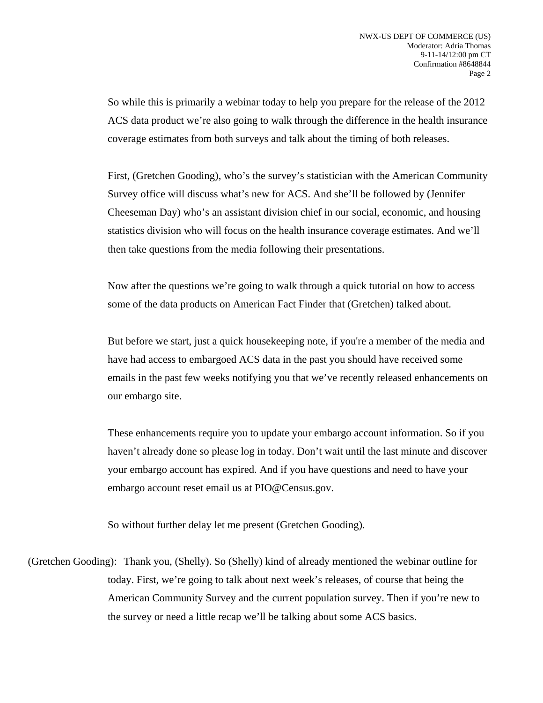So while this is primarily a webinar today to help you prepare for the release of the 2012 ACS data product we're also going to walk through the difference in the health insurance coverage estimates from both surveys and talk about the timing of both releases.

 First, (Gretchen Gooding), who's the survey's statistician with the American Community Survey office will discuss what's new for ACS. And she'll be followed by (Jennifer Cheeseman Day) who's an assistant division chief in our social, economic, and housing statistics division who will focus on the health insurance coverage estimates. And we'll then take questions from the media following their presentations.

 Now after the questions we're going to walk through a quick tutorial on how to access some of the data products on American Fact Finder that (Gretchen) talked about.

 But before we start, just a quick housekeeping note, if you're a member of the media and have had access to embargoed ACS data in the past you should have received some emails in the past few weeks notifying you that we've recently released enhancements on our embargo site.

 These enhancements require you to update your embargo account information. So if you haven't already done so please log in today. Don't wait until the last minute and discover your embargo account has expired. And if you have questions and need to have your embargo account reset email us at PIO@Census.gov.

So without further delay let me present (Gretchen Gooding).

(Gretchen Gooding): Thank you, (Shelly). So (Shelly) kind of already mentioned the webinar outline for today. First, we're going to talk about next week's releases, of course that being the American Community Survey and the current population survey. Then if you're new to the survey or need a little recap we'll be talking about some ACS basics.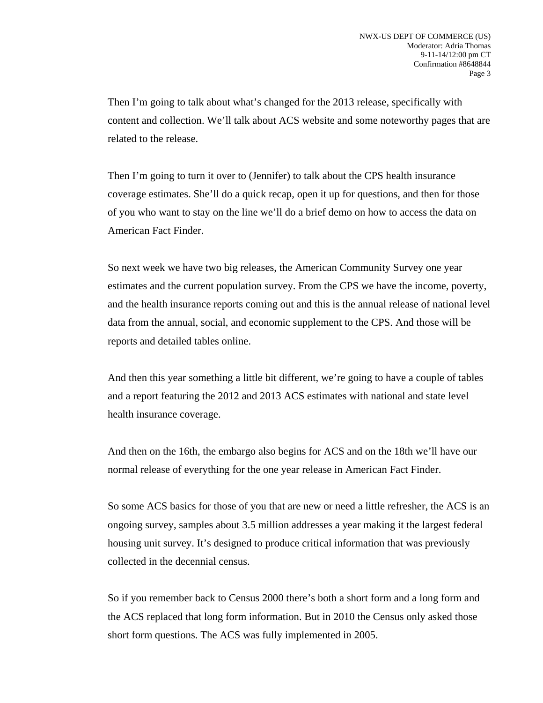Then I'm going to talk about what's changed for the 2013 release, specifically with content and collection. We'll talk about ACS website and some noteworthy pages that are related to the release.

 Then I'm going to turn it over to (Jennifer) to talk about the CPS health insurance coverage estimates. She'll do a quick recap, open it up for questions, and then for those of you who want to stay on the line we'll do a brief demo on how to access the data on American Fact Finder.

 So next week we have two big releases, the American Community Survey one year estimates and the current population survey. From the CPS we have the income, poverty, and the health insurance reports coming out and this is the annual release of national level data from the annual, social, and economic supplement to the CPS. And those will be reports and detailed tables online.

 And then this year something a little bit different, we're going to have a couple of tables and a report featuring the 2012 and 2013 ACS estimates with national and state level health insurance coverage.

 And then on the 16th, the embargo also begins for ACS and on the 18th we'll have our normal release of everything for the one year release in American Fact Finder.

 So some ACS basics for those of you that are new or need a little refresher, the ACS is an ongoing survey, samples about 3.5 million addresses a year making it the largest federal housing unit survey. It's designed to produce critical information that was previously collected in the decennial census.

 So if you remember back to Census 2000 there's both a short form and a long form and the ACS replaced that long form information. But in 2010 the Census only asked those short form questions. The ACS was fully implemented in 2005.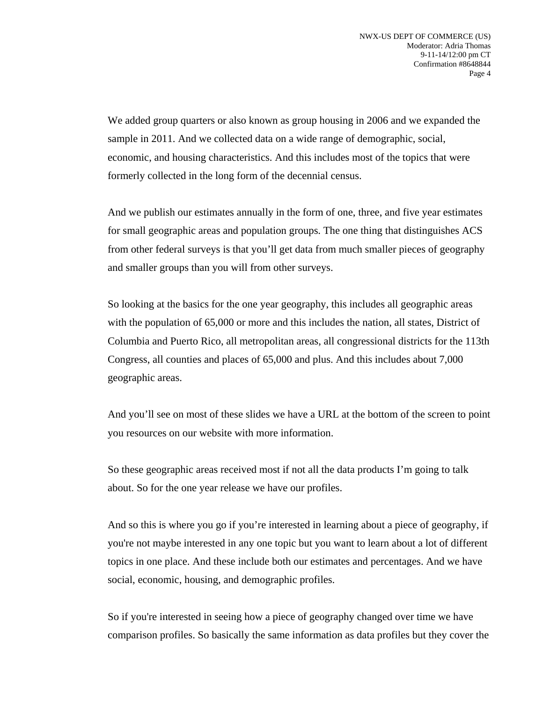We added group quarters or also known as group housing in 2006 and we expanded the sample in 2011. And we collected data on a wide range of demographic, social, economic, and housing characteristics. And this includes most of the topics that were formerly collected in the long form of the decennial census.

 And we publish our estimates annually in the form of one, three, and five year estimates for small geographic areas and population groups. The one thing that distinguishes ACS from other federal surveys is that you'll get data from much smaller pieces of geography and smaller groups than you will from other surveys.

 So looking at the basics for the one year geography, this includes all geographic areas with the population of 65,000 or more and this includes the nation, all states, District of Columbia and Puerto Rico, all metropolitan areas, all congressional districts for the 113th Congress, all counties and places of 65,000 and plus. And this includes about 7,000 geographic areas.

 And you'll see on most of these slides we have a URL at the bottom of the screen to point you resources on our website with more information.

 So these geographic areas received most if not all the data products I'm going to talk about. So for the one year release we have our profiles.

 And so this is where you go if you're interested in learning about a piece of geography, if you're not maybe interested in any one topic but you want to learn about a lot of different topics in one place. And these include both our estimates and percentages. And we have social, economic, housing, and demographic profiles.

 So if you're interested in seeing how a piece of geography changed over time we have comparison profiles. So basically the same information as data profiles but they cover the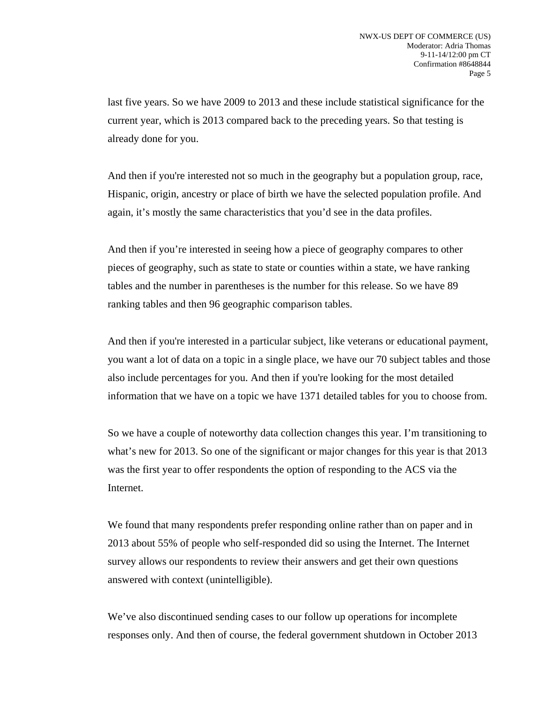last five years. So we have 2009 to 2013 and these include statistical significance for the current year, which is 2013 compared back to the preceding years. So that testing is already done for you.

And then if you're interested not so much in the geography but a population group, race, Hispanic, origin, ancestry or place of birth we have the selected population profile. And again, it's mostly the same characteristics that you'd see in the data profiles.

And then if you're interested in seeing how a piece of geography compares to other pieces of geography, such as state to state or counties within a state, we have ranking tables and the number in parentheses is the number for this release. So we have 89 ranking tables and then 96 geographic comparison tables.

 And then if you're interested in a particular subject, like veterans or educational payment, you want a lot of data on a topic in a single place, we have our 70 subject tables and those also include percentages for you. And then if you're looking for the most detailed information that we have on a topic we have 1371 detailed tables for you to choose from.

 So we have a couple of noteworthy data collection changes this year. I'm transitioning to what's new for 2013. So one of the significant or major changes for this year is that 2013 was the first year to offer respondents the option of responding to the ACS via the Internet.

 We found that many respondents prefer responding online rather than on paper and in 2013 about 55% of people who self-responded did so using the Internet. The Internet survey allows our respondents to review their answers and get their own questions answered with context (unintelligible).

 We've also discontinued sending cases to our follow up operations for incomplete responses only. And then of course, the federal government shutdown in October 2013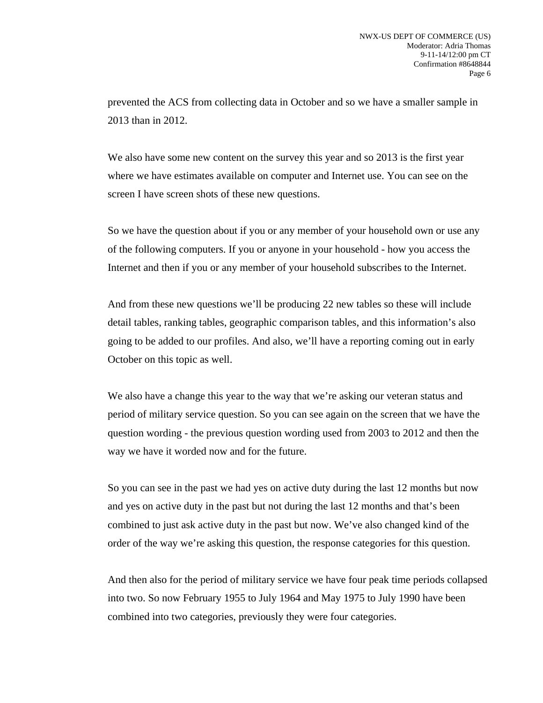prevented the ACS from collecting data in October and so we have a smaller sample in 2013 than in 2012.

We also have some new content on the survey this year and so 2013 is the first year where we have estimates available on computer and Internet use. You can see on the screen I have screen shots of these new questions.

 So we have the question about if you or any member of your household own or use any of the following computers. If you or anyone in your household - how you access the Internet and then if you or any member of your household subscribes to the Internet.

 And from these new questions we'll be producing 22 new tables so these will include detail tables, ranking tables, geographic comparison tables, and this information's also going to be added to our profiles. And also, we'll have a reporting coming out in early October on this topic as well.

 We also have a change this year to the way that we're asking our veteran status and period of military service question. So you can see again on the screen that we have the question wording - the previous question wording used from 2003 to 2012 and then the way we have it worded now and for the future.

 So you can see in the past we had yes on active duty during the last 12 months but now and yes on active duty in the past but not during the last 12 months and that's been combined to just ask active duty in the past but now. We've also changed kind of the order of the way we're asking this question, the response categories for this question.

 And then also for the period of military service we have four peak time periods collapsed into two. So now February 1955 to July 1964 and May 1975 to July 1990 have been combined into two categories, previously they were four categories.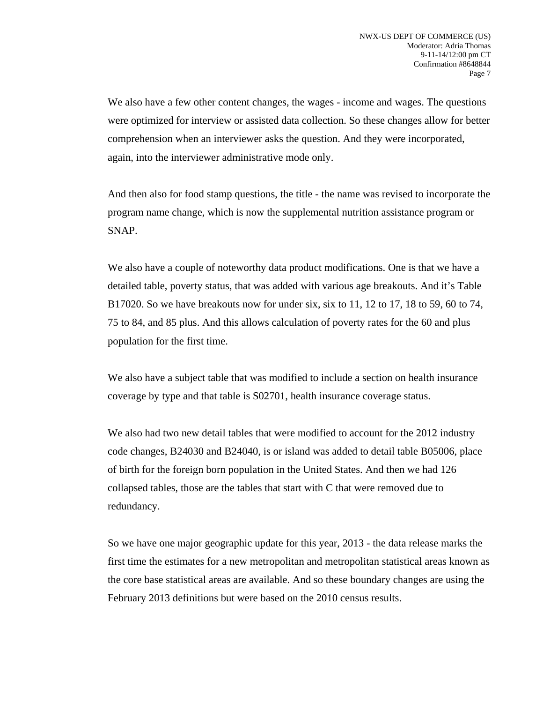We also have a few other content changes, the wages - income and wages. The questions were optimized for interview or assisted data collection. So these changes allow for better comprehension when an interviewer asks the question. And they were incorporated, again, into the interviewer administrative mode only.

 And then also for food stamp questions, the title - the name was revised to incorporate the program name change, which is now the supplemental nutrition assistance program or SNAP.

 We also have a couple of noteworthy data product modifications. One is that we have a detailed table, poverty status, that was added with various age breakouts. And it's Table B17020. So we have breakouts now for under six, six to 11, 12 to 17, 18 to 59, 60 to 74, 75 to 84, and 85 plus. And this allows calculation of poverty rates for the 60 and plus population for the first time.

 We also have a subject table that was modified to include a section on health insurance coverage by type and that table is S02701, health insurance coverage status.

 We also had two new detail tables that were modified to account for the 2012 industry code changes, B24030 and B24040, is or island was added to detail table B05006, place of birth for the foreign born population in the United States. And then we had 126 collapsed tables, those are the tables that start with C that were removed due to redundancy.

 So we have one major geographic update for this year, 2013 - the data release marks the first time the estimates for a new metropolitan and metropolitan statistical areas known as the core base statistical areas are available. And so these boundary changes are using the February 2013 definitions but were based on the 2010 census results.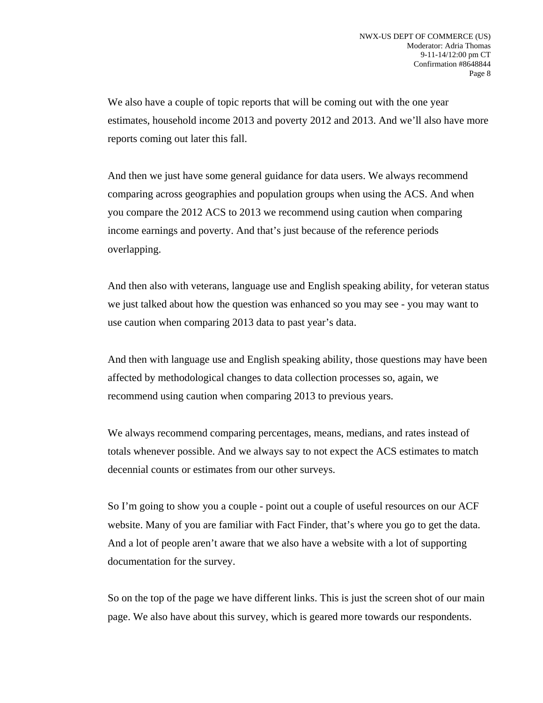We also have a couple of topic reports that will be coming out with the one year estimates, household income 2013 and poverty 2012 and 2013. And we'll also have more reports coming out later this fall.

 And then we just have some general guidance for data users. We always recommend comparing across geographies and population groups when using the ACS. And when you compare the 2012 ACS to 2013 we recommend using caution when comparing income earnings and poverty. And that's just because of the reference periods overlapping.

 And then also with veterans, language use and English speaking ability, for veteran status we just talked about how the question was enhanced so you may see - you may want to use caution when comparing 2013 data to past year's data.

 And then with language use and English speaking ability, those questions may have been affected by methodological changes to data collection processes so, again, we recommend using caution when comparing 2013 to previous years.

 We always recommend comparing percentages, means, medians, and rates instead of totals whenever possible. And we always say to not expect the ACS estimates to match decennial counts or estimates from our other surveys.

 So I'm going to show you a couple - point out a couple of useful resources on our ACF website. Many of you are familiar with Fact Finder, that's where you go to get the data. And a lot of people aren't aware that we also have a website with a lot of supporting documentation for the survey.

 So on the top of the page we have different links. This is just the screen shot of our main page. We also have about this survey, which is geared more towards our respondents.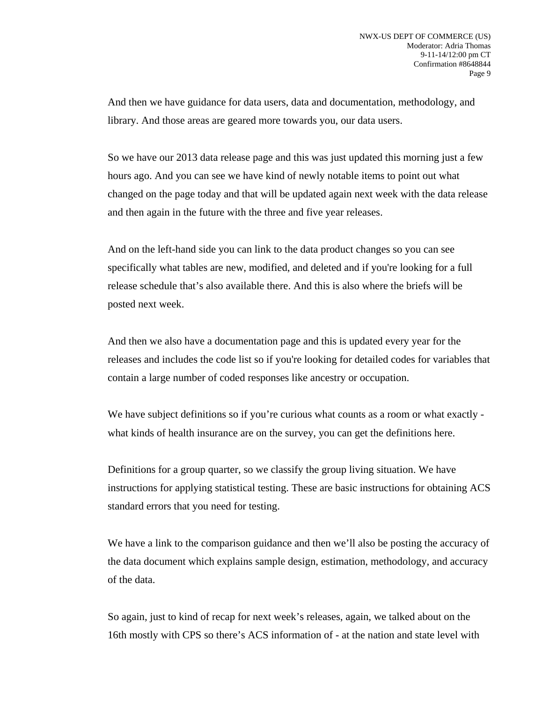And then we have guidance for data users, data and documentation, methodology, and library. And those areas are geared more towards you, our data users.

 So we have our 2013 data release page and this was just updated this morning just a few hours ago. And you can see we have kind of newly notable items to point out what changed on the page today and that will be updated again next week with the data release and then again in the future with the three and five year releases.

 And on the left-hand side you can link to the data product changes so you can see specifically what tables are new, modified, and deleted and if you're looking for a full release schedule that's also available there. And this is also where the briefs will be posted next week.

 And then we also have a documentation page and this is updated every year for the releases and includes the code list so if you're looking for detailed codes for variables that contain a large number of coded responses like ancestry or occupation.

We have subject definitions so if you're curious what counts as a room or what exactly what kinds of health insurance are on the survey, you can get the definitions here.

 Definitions for a group quarter, so we classify the group living situation. We have instructions for applying statistical testing. These are basic instructions for obtaining ACS standard errors that you need for testing.

 We have a link to the comparison guidance and then we'll also be posting the accuracy of the data document which explains sample design, estimation, methodology, and accuracy of the data.

 So again, just to kind of recap for next week's releases, again, we talked about on the 16th mostly with CPS so there's ACS information of - at the nation and state level with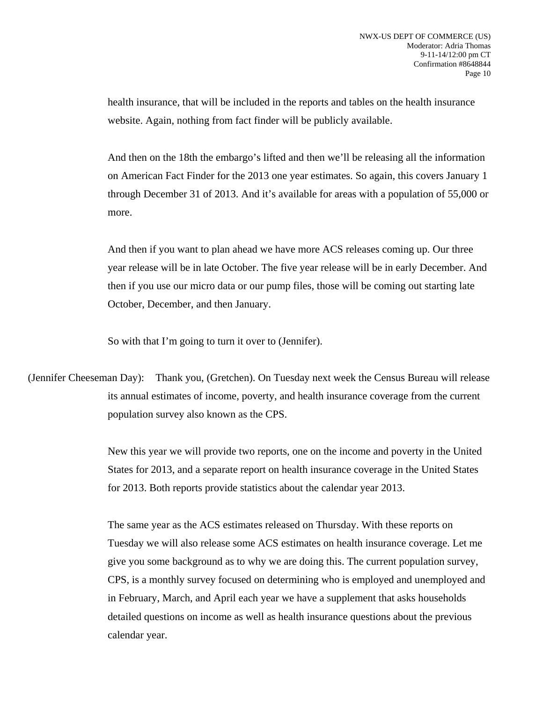health insurance, that will be included in the reports and tables on the health insurance website. Again, nothing from fact finder will be publicly available.

 And then on the 18th the embargo's lifted and then we'll be releasing all the information on American Fact Finder for the 2013 one year estimates. So again, this covers January 1 through December 31 of 2013. And it's available for areas with a population of 55,000 or more.

 And then if you want to plan ahead we have more ACS releases coming up. Our three year release will be in late October. The five year release will be in early December. And then if you use our micro data or our pump files, those will be coming out starting late October, December, and then January.

So with that I'm going to turn it over to (Jennifer).

(Jennifer Cheeseman Day): Thank you, (Gretchen). On Tuesday next week the Census Bureau will release its annual estimates of income, poverty, and health insurance coverage from the current population survey also known as the CPS.

> New this year we will provide two reports, one on the income and poverty in the United States for 2013, and a separate report on health insurance coverage in the United States for 2013. Both reports provide statistics about the calendar year 2013.

> The same year as the ACS estimates released on Thursday. With these reports on Tuesday we will also release some ACS estimates on health insurance coverage. Let me give you some background as to why we are doing this. The current population survey, CPS, is a monthly survey focused on determining who is employed and unemployed and in February, March, and April each year we have a supplement that asks households detailed questions on income as well as health insurance questions about the previous calendar year.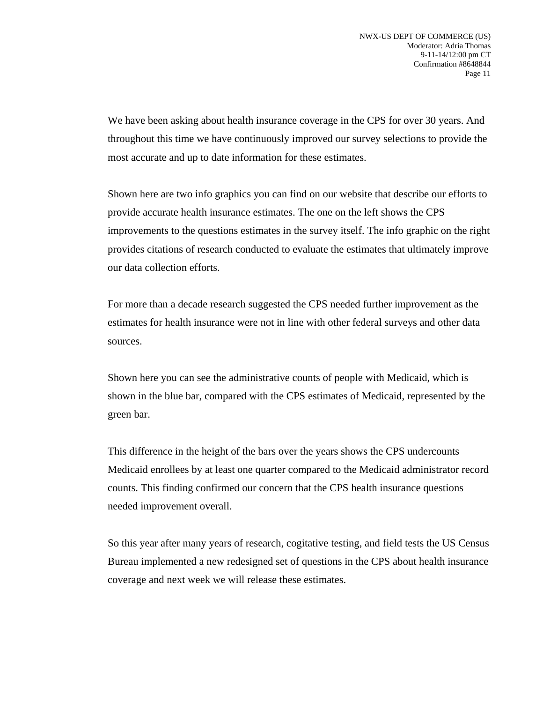We have been asking about health insurance coverage in the CPS for over 30 years. And throughout this time we have continuously improved our survey selections to provide the most accurate and up to date information for these estimates.

 Shown here are two info graphics you can find on our website that describe our efforts to provide accurate health insurance estimates. The one on the left shows the CPS improvements to the questions estimates in the survey itself. The info graphic on the right provides citations of research conducted to evaluate the estimates that ultimately improve our data collection efforts.

 For more than a decade research suggested the CPS needed further improvement as the estimates for health insurance were not in line with other federal surveys and other data sources.

 Shown here you can see the administrative counts of people with Medicaid, which is shown in the blue bar, compared with the CPS estimates of Medicaid, represented by the green bar.

 This difference in the height of the bars over the years shows the CPS undercounts Medicaid enrollees by at least one quarter compared to the Medicaid administrator record counts. This finding confirmed our concern that the CPS health insurance questions needed improvement overall.

 So this year after many years of research, cogitative testing, and field tests the US Census Bureau implemented a new redesigned set of questions in the CPS about health insurance coverage and next week we will release these estimates.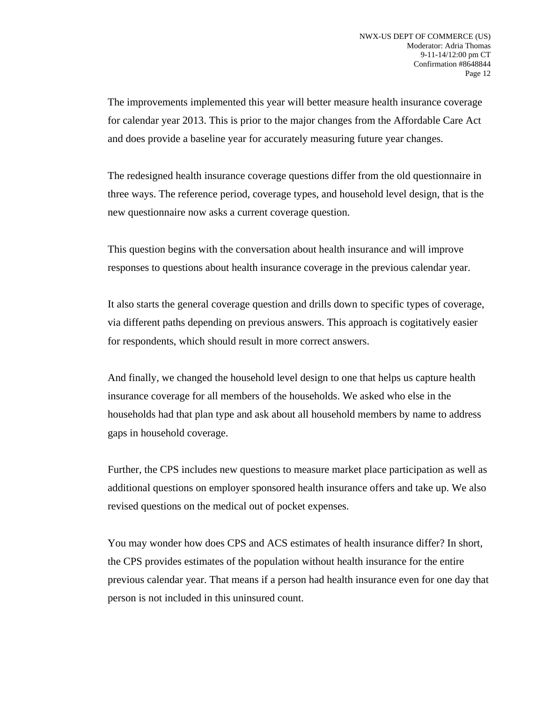The improvements implemented this year will better measure health insurance coverage for calendar year 2013. This is prior to the major changes from the Affordable Care Act and does provide a baseline year for accurately measuring future year changes.

 The redesigned health insurance coverage questions differ from the old questionnaire in three ways. The reference period, coverage types, and household level design, that is the new questionnaire now asks a current coverage question.

 This question begins with the conversation about health insurance and will improve responses to questions about health insurance coverage in the previous calendar year.

 It also starts the general coverage question and drills down to specific types of coverage, via different paths depending on previous answers. This approach is cogitatively easier for respondents, which should result in more correct answers.

 And finally, we changed the household level design to one that helps us capture health insurance coverage for all members of the households. We asked who else in the households had that plan type and ask about all household members by name to address gaps in household coverage.

 Further, the CPS includes new questions to measure market place participation as well as additional questions on employer sponsored health insurance offers and take up. We also revised questions on the medical out of pocket expenses.

 You may wonder how does CPS and ACS estimates of health insurance differ? In short, the CPS provides estimates of the population without health insurance for the entire previous calendar year. That means if a person had health insurance even for one day that person is not included in this uninsured count.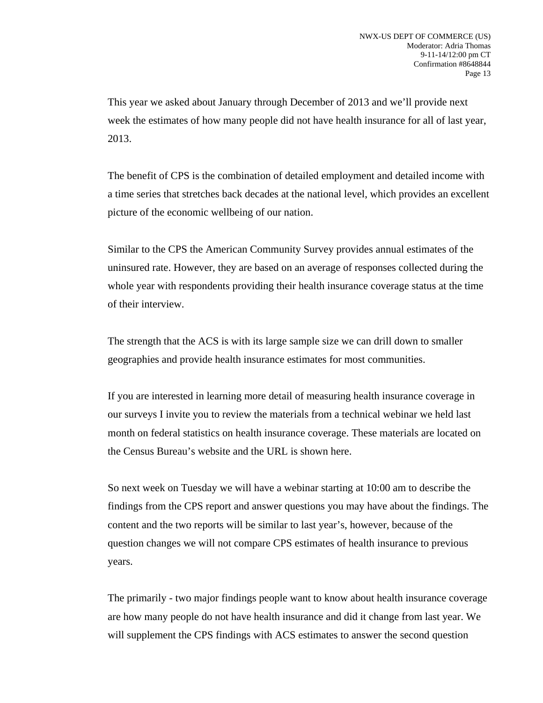This year we asked about January through December of 2013 and we'll provide next week the estimates of how many people did not have health insurance for all of last year, 2013.

 The benefit of CPS is the combination of detailed employment and detailed income with a time series that stretches back decades at the national level, which provides an excellent picture of the economic wellbeing of our nation.

 Similar to the CPS the American Community Survey provides annual estimates of the uninsured rate. However, they are based on an average of responses collected during the whole year with respondents providing their health insurance coverage status at the time of their interview.

 The strength that the ACS is with its large sample size we can drill down to smaller geographies and provide health insurance estimates for most communities.

 If you are interested in learning more detail of measuring health insurance coverage in our surveys I invite you to review the materials from a technical webinar we held last month on federal statistics on health insurance coverage. These materials are located on the Census Bureau's website and the URL is shown here.

 So next week on Tuesday we will have a webinar starting at 10:00 am to describe the findings from the CPS report and answer questions you may have about the findings. The content and the two reports will be similar to last year's, however, because of the question changes we will not compare CPS estimates of health insurance to previous years.

 The primarily - two major findings people want to know about health insurance coverage are how many people do not have health insurance and did it change from last year. We will supplement the CPS findings with ACS estimates to answer the second question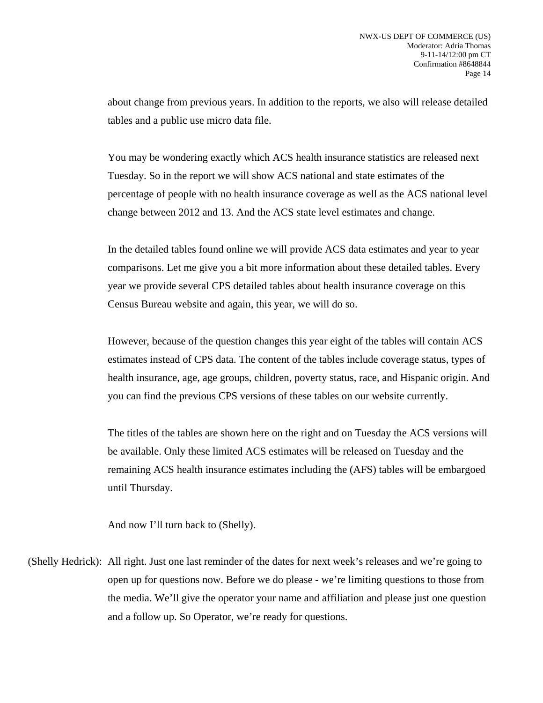about change from previous years. In addition to the reports, we also will release detailed tables and a public use micro data file.

 You may be wondering exactly which ACS health insurance statistics are released next Tuesday. So in the report we will show ACS national and state estimates of the percentage of people with no health insurance coverage as well as the ACS national level change between 2012 and 13. And the ACS state level estimates and change.

 In the detailed tables found online we will provide ACS data estimates and year to year comparisons. Let me give you a bit more information about these detailed tables. Every year we provide several CPS detailed tables about health insurance coverage on this Census Bureau website and again, this year, we will do so.

 However, because of the question changes this year eight of the tables will contain ACS estimates instead of CPS data. The content of the tables include coverage status, types of health insurance, age, age groups, children, poverty status, race, and Hispanic origin. And you can find the previous CPS versions of these tables on our website currently.

 The titles of the tables are shown here on the right and on Tuesday the ACS versions will be available. Only these limited ACS estimates will be released on Tuesday and the remaining ACS health insurance estimates including the (AFS) tables will be embargoed until Thursday.

And now I'll turn back to (Shelly).

(Shelly Hedrick): All right. Just one last reminder of the dates for next week's releases and we're going to open up for questions now. Before we do please - we're limiting questions to those from the media. We'll give the operator your name and affiliation and please just one question and a follow up. So Operator, we're ready for questions.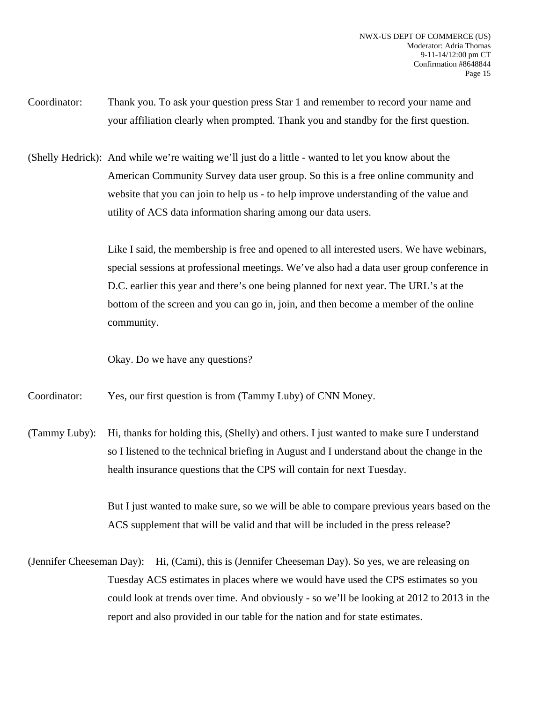- Coordinator: Thank you. To ask your question press Star 1 and remember to record your name and your affiliation clearly when prompted. Thank you and standby for the first question.
- (Shelly Hedrick): And while we're waiting we'll just do a little wanted to let you know about the American Community Survey data user group. So this is a free online community and website that you can join to help us - to help improve understanding of the value and utility of ACS data information sharing among our data users.

Like I said, the membership is free and opened to all interested users. We have webinars, special sessions at professional meetings. We've also had a data user group conference in D.C. earlier this year and there's one being planned for next year. The URL's at the bottom of the screen and you can go in, join, and then become a member of the online community.

Okay. Do we have any questions?

Coordinator: Yes, our first question is from (Tammy Luby) of CNN Money.

(Tammy Luby): Hi, thanks for holding this, (Shelly) and others. I just wanted to make sure I understand so I listened to the technical briefing in August and I understand about the change in the health insurance questions that the CPS will contain for next Tuesday.

> But I just wanted to make sure, so we will be able to compare previous years based on the ACS supplement that will be valid and that will be included in the press release?

(Jennifer Cheeseman Day): Hi, (Cami), this is (Jennifer Cheeseman Day). So yes, we are releasing on Tuesday ACS estimates in places where we would have used the CPS estimates so you could look at trends over time. And obviously - so we'll be looking at 2012 to 2013 in the report and also provided in our table for the nation and for state estimates.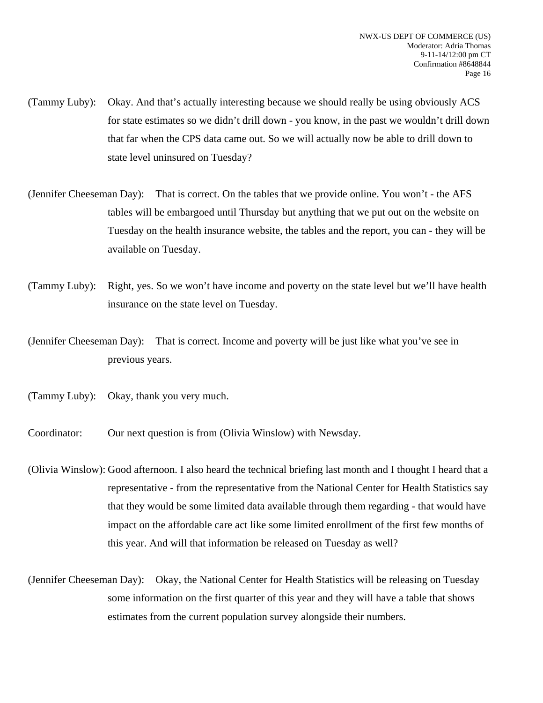- (Tammy Luby): Okay. And that's actually interesting because we should really be using obviously ACS for state estimates so we didn't drill down - you know, in the past we wouldn't drill down that far when the CPS data came out. So we will actually now be able to drill down to state level uninsured on Tuesday?
- (Jennifer Cheeseman Day): That is correct. On the tables that we provide online. You won't the AFS tables will be embargoed until Thursday but anything that we put out on the website on Tuesday on the health insurance website, the tables and the report, you can - they will be available on Tuesday.
- (Tammy Luby): Right, yes. So we won't have income and poverty on the state level but we'll have health insurance on the state level on Tuesday.
- (Jennifer Cheeseman Day): That is correct. Income and poverty will be just like what you've see in previous years.
- (Tammy Luby): Okay, thank you very much.
- Coordinator: Our next question is from (Olivia Winslow) with Newsday.
- (Olivia Winslow): Good afternoon. I also heard the technical briefing last month and I thought I heard that a representative - from the representative from the National Center for Health Statistics say that they would be some limited data available through them regarding - that would have impact on the affordable care act like some limited enrollment of the first few months of this year. And will that information be released on Tuesday as well?
- (Jennifer Cheeseman Day): Okay, the National Center for Health Statistics will be releasing on Tuesday some information on the first quarter of this year and they will have a table that shows estimates from the current population survey alongside their numbers.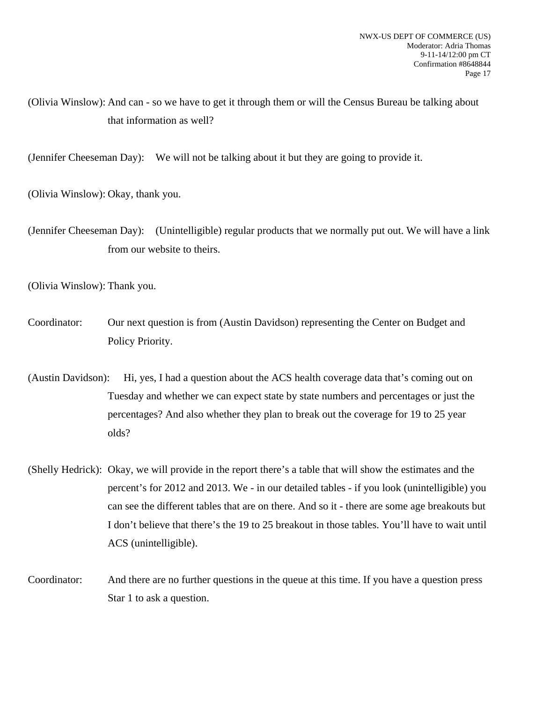(Olivia Winslow): And can - so we have to get it through them or will the Census Bureau be talking about that information as well?

(Jennifer Cheeseman Day): We will not be talking about it but they are going to provide it.

(Olivia Winslow): Okay, thank you.

(Jennifer Cheeseman Day): (Unintelligible) regular products that we normally put out. We will have a link from our website to theirs.

(Olivia Winslow): Thank you.

- Coordinator: Our next question is from (Austin Davidson) representing the Center on Budget and Policy Priority.
- (Austin Davidson): Hi, yes, I had a question about the ACS health coverage data that's coming out on Tuesday and whether we can expect state by state numbers and percentages or just the percentages? And also whether they plan to break out the coverage for 19 to 25 year olds?
- (Shelly Hedrick): Okay, we will provide in the report there's a table that will show the estimates and the percent's for 2012 and 2013. We - in our detailed tables - if you look (unintelligible) you can see the different tables that are on there. And so it - there are some age breakouts but I don't believe that there's the 19 to 25 breakout in those tables. You'll have to wait until ACS (unintelligible).
- Coordinator: And there are no further questions in the queue at this time. If you have a question press Star 1 to ask a question.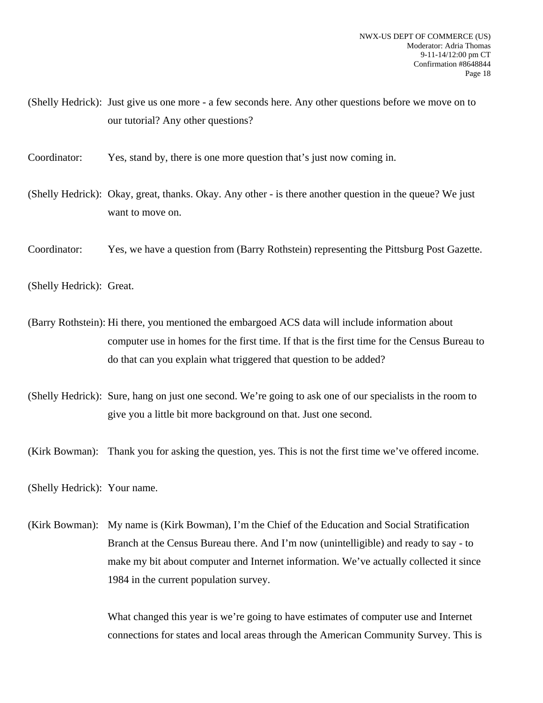(Shelly Hedrick): Just give us one more - a few seconds here. Any other questions before we move on to our tutorial? Any other questions?

Coordinator: Yes, stand by, there is one more question that's just now coming in.

(Shelly Hedrick): Okay, great, thanks. Okay. Any other - is there another question in the queue? We just want to move on.

Coordinator: Yes, we have a question from (Barry Rothstein) representing the Pittsburg Post Gazette.

(Shelly Hedrick): Great.

(Barry Rothstein): Hi there, you mentioned the embargoed ACS data will include information about computer use in homes for the first time. If that is the first time for the Census Bureau to do that can you explain what triggered that question to be added?

(Shelly Hedrick): Sure, hang on just one second. We're going to ask one of our specialists in the room to give you a little bit more background on that. Just one second.

(Kirk Bowman): Thank you for asking the question, yes. This is not the first time we've offered income.

(Shelly Hedrick): Your name.

(Kirk Bowman): My name is (Kirk Bowman), I'm the Chief of the Education and Social Stratification Branch at the Census Bureau there. And I'm now (unintelligible) and ready to say - to make my bit about computer and Internet information. We've actually collected it since 1984 in the current population survey.

> What changed this year is we're going to have estimates of computer use and Internet connections for states and local areas through the American Community Survey. This is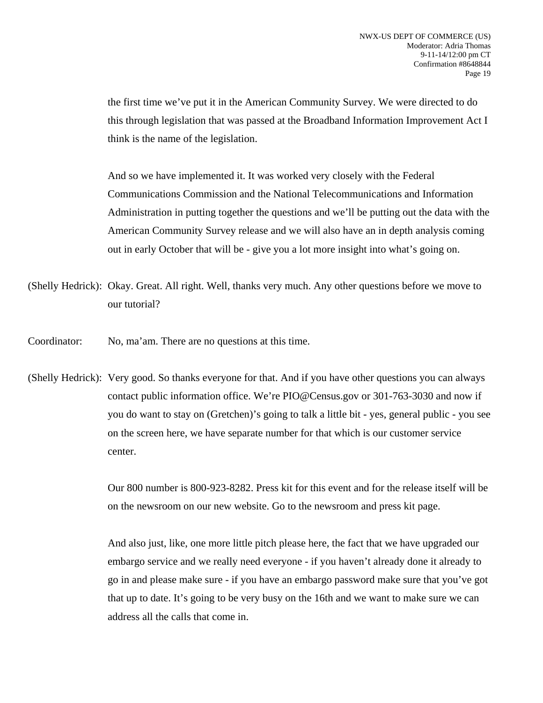the first time we've put it in the American Community Survey. We were directed to do this through legislation that was passed at the Broadband Information Improvement Act I think is the name of the legislation.

 And so we have implemented it. It was worked very closely with the Federal Communications Commission and the National Telecommunications and Information Administration in putting together the questions and we'll be putting out the data with the American Community Survey release and we will also have an in depth analysis coming out in early October that will be - give you a lot more insight into what's going on.

- (Shelly Hedrick): Okay. Great. All right. Well, thanks very much. Any other questions before we move to our tutorial?
- Coordinator: No, ma'am. There are no questions at this time.
- (Shelly Hedrick): Very good. So thanks everyone for that. And if you have other questions you can always contact public information office. We're PIO@Census.gov or 301-763-3030 and now if you do want to stay on (Gretchen)'s going to talk a little bit - yes, general public - you see on the screen here, we have separate number for that which is our customer service center.

 Our 800 number is 800-923-8282. Press kit for this event and for the release itself will be on the newsroom on our new website. Go to the newsroom and press kit page.

 And also just, like, one more little pitch please here, the fact that we have upgraded our embargo service and we really need everyone - if you haven't already done it already to go in and please make sure - if you have an embargo password make sure that you've got that up to date. It's going to be very busy on the 16th and we want to make sure we can address all the calls that come in.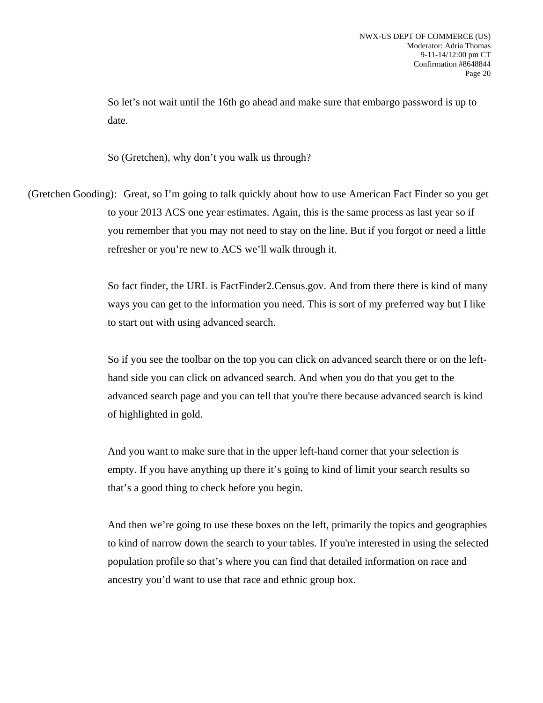So let's not wait until the 16th go ahead and make sure that embargo password is up to date.

So (Gretchen), why don't you walk us through?

(Gretchen Gooding): Great, so I'm going to talk quickly about how to use American Fact Finder so you get to your 2013 ACS one year estimates. Again, this is the same process as last year so if you remember that you may not need to stay on the line. But if you forgot or need a little refresher or you're new to ACS we'll walk through it.

> So fact finder, the URL is FactFinder2.Census.gov. And from there there is kind of many ways you can get to the information you need. This is sort of my preferred way but I like to start out with using advanced search.

> So if you see the toolbar on the top you can click on advanced search there or on the lefthand side you can click on advanced search. And when you do that you get to the advanced search page and you can tell that you're there because advanced search is kind of highlighted in gold.

 And you want to make sure that in the upper left-hand corner that your selection is empty. If you have anything up there it's going to kind of limit your search results so that's a good thing to check before you begin.

 And then we're going to use these boxes on the left, primarily the topics and geographies to kind of narrow down the search to your tables. If you're interested in using the selected population profile so that's where you can find that detailed information on race and ancestry you'd want to use that race and ethnic group box.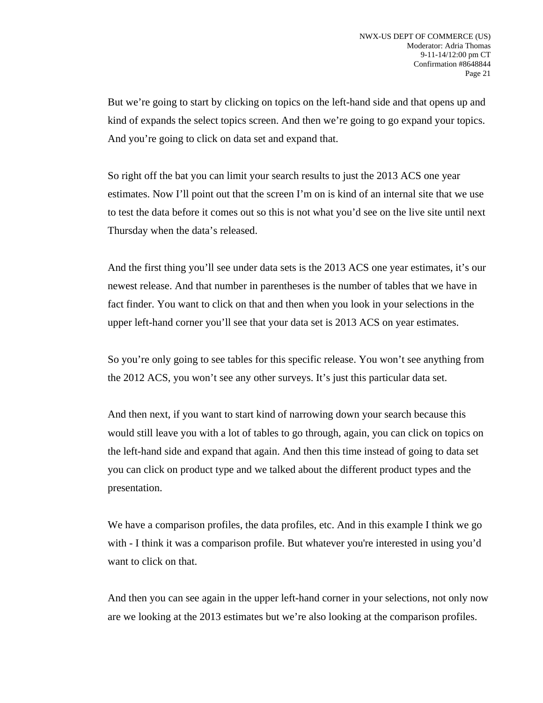But we're going to start by clicking on topics on the left-hand side and that opens up and kind of expands the select topics screen. And then we're going to go expand your topics. And you're going to click on data set and expand that.

 So right off the bat you can limit your search results to just the 2013 ACS one year estimates. Now I'll point out that the screen I'm on is kind of an internal site that we use to test the data before it comes out so this is not what you'd see on the live site until next Thursday when the data's released.

 And the first thing you'll see under data sets is the 2013 ACS one year estimates, it's our newest release. And that number in parentheses is the number of tables that we have in fact finder. You want to click on that and then when you look in your selections in the upper left-hand corner you'll see that your data set is 2013 ACS on year estimates.

 So you're only going to see tables for this specific release. You won't see anything from the 2012 ACS, you won't see any other surveys. It's just this particular data set.

 And then next, if you want to start kind of narrowing down your search because this would still leave you with a lot of tables to go through, again, you can click on topics on the left-hand side and expand that again. And then this time instead of going to data set you can click on product type and we talked about the different product types and the presentation.

We have a comparison profiles, the data profiles, etc. And in this example I think we go with - I think it was a comparison profile. But whatever you're interested in using you'd want to click on that.

 And then you can see again in the upper left-hand corner in your selections, not only now are we looking at the 2013 estimates but we're also looking at the comparison profiles.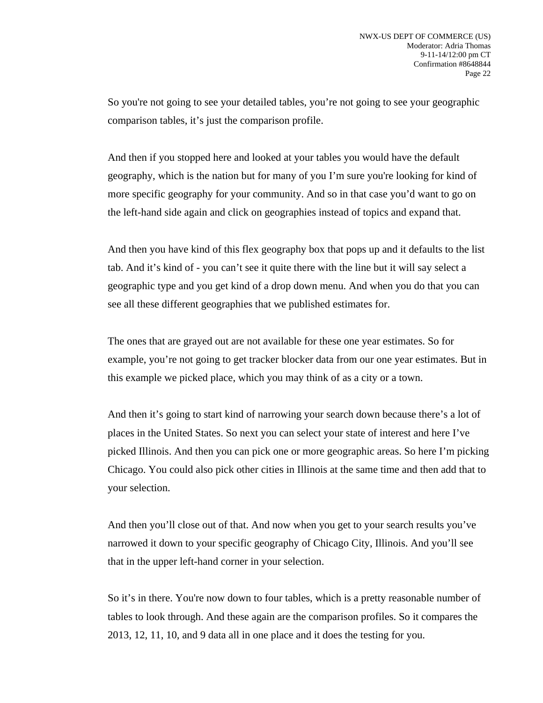So you're not going to see your detailed tables, you're not going to see your geographic comparison tables, it's just the comparison profile.

 And then if you stopped here and looked at your tables you would have the default geography, which is the nation but for many of you I'm sure you're looking for kind of more specific geography for your community. And so in that case you'd want to go on the left-hand side again and click on geographies instead of topics and expand that.

 And then you have kind of this flex geography box that pops up and it defaults to the list tab. And it's kind of - you can't see it quite there with the line but it will say select a geographic type and you get kind of a drop down menu. And when you do that you can see all these different geographies that we published estimates for.

 The ones that are grayed out are not available for these one year estimates. So for example, you're not going to get tracker blocker data from our one year estimates. But in this example we picked place, which you may think of as a city or a town.

 And then it's going to start kind of narrowing your search down because there's a lot of places in the United States. So next you can select your state of interest and here I've picked Illinois. And then you can pick one or more geographic areas. So here I'm picking Chicago. You could also pick other cities in Illinois at the same time and then add that to your selection.

 And then you'll close out of that. And now when you get to your search results you've narrowed it down to your specific geography of Chicago City, Illinois. And you'll see that in the upper left-hand corner in your selection.

 So it's in there. You're now down to four tables, which is a pretty reasonable number of tables to look through. And these again are the comparison profiles. So it compares the 2013, 12, 11, 10, and 9 data all in one place and it does the testing for you.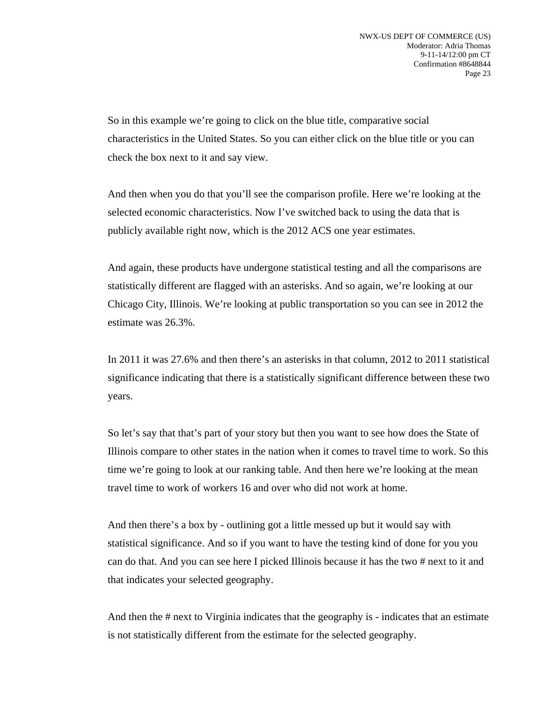So in this example we're going to click on the blue title, comparative social characteristics in the United States. So you can either click on the blue title or you can check the box next to it and say view.

 And then when you do that you'll see the comparison profile. Here we're looking at the selected economic characteristics. Now I've switched back to using the data that is publicly available right now, which is the 2012 ACS one year estimates.

 And again, these products have undergone statistical testing and all the comparisons are statistically different are flagged with an asterisks. And so again, we're looking at our Chicago City, Illinois. We're looking at public transportation so you can see in 2012 the estimate was 26.3%.

 In 2011 it was 27.6% and then there's an asterisks in that column, 2012 to 2011 statistical significance indicating that there is a statistically significant difference between these two years.

 So let's say that that's part of your story but then you want to see how does the State of Illinois compare to other states in the nation when it comes to travel time to work. So this time we're going to look at our ranking table. And then here we're looking at the mean travel time to work of workers 16 and over who did not work at home.

 And then there's a box by - outlining got a little messed up but it would say with statistical significance. And so if you want to have the testing kind of done for you you can do that. And you can see here I picked Illinois because it has the two # next to it and that indicates your selected geography.

 And then the # next to Virginia indicates that the geography is - indicates that an estimate is not statistically different from the estimate for the selected geography.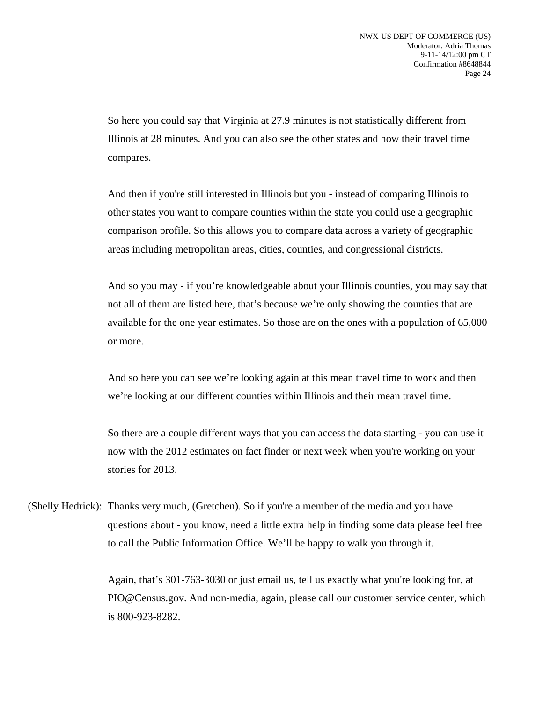So here you could say that Virginia at 27.9 minutes is not statistically different from Illinois at 28 minutes. And you can also see the other states and how their travel time compares.

 And then if you're still interested in Illinois but you - instead of comparing Illinois to other states you want to compare counties within the state you could use a geographic comparison profile. So this allows you to compare data across a variety of geographic areas including metropolitan areas, cities, counties, and congressional districts.

 And so you may - if you're knowledgeable about your Illinois counties, you may say that not all of them are listed here, that's because we're only showing the counties that are available for the one year estimates. So those are on the ones with a population of 65,000 or more.

 And so here you can see we're looking again at this mean travel time to work and then we're looking at our different counties within Illinois and their mean travel time.

 So there are a couple different ways that you can access the data starting - you can use it now with the 2012 estimates on fact finder or next week when you're working on your stories for 2013.

(Shelly Hedrick): Thanks very much, (Gretchen). So if you're a member of the media and you have questions about - you know, need a little extra help in finding some data please feel free to call the Public Information Office. We'll be happy to walk you through it.

> Again, that's 301-763-3030 or just email us, tell us exactly what you're looking for, at PIO@Census.gov. And non-media, again, please call our customer service center, which is 800-923-8282.